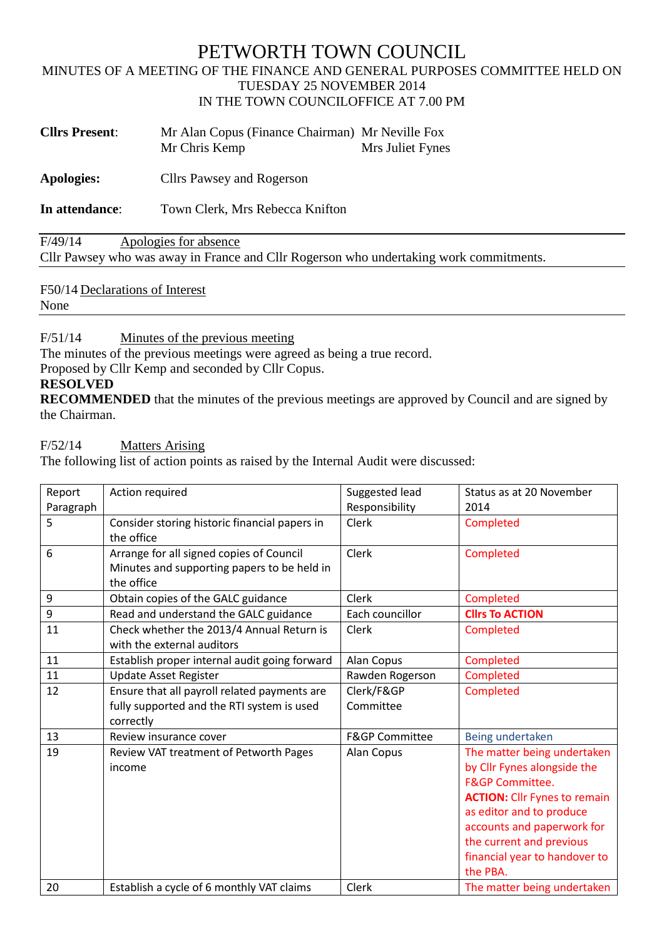# PETWORTH TOWN COUNCIL

#### MINUTES OF A MEETING OF THE FINANCE AND GENERAL PURPOSES COMMITTEE HELD ON TUESDAY 25 NOVEMBER 2014 IN THE TOWN COUNCILOFFICE AT 7.00 PM

| <b>Cllrs Present:</b> | Mr Alan Copus (Finance Chairman) Mr Neville Fox |                  |
|-----------------------|-------------------------------------------------|------------------|
|                       | Mr Chris Kemp                                   | Mrs Juliet Fynes |

**Apologies:** Cllrs Pawsey and Rogerson

**In attendance**: Town Clerk, Mrs Rebecca Knifton

F/49/14 Apologies for absence Cllr Pawsey who was away in France and Cllr Rogerson who undertaking work commitments.

F50/14 Declarations of Interest

None

F/51/14 Minutes of the previous meeting

The minutes of the previous meetings were agreed as being a true record.

Proposed by Cllr Kemp and seconded by Cllr Copus.

#### **RESOLVED**

**RECOMMENDED** that the minutes of the previous meetings are approved by Council and are signed by the Chairman.

F/52/14 Matters Arising

The following list of action points as raised by the Internal Audit were discussed:

| Report    | Action required                                                                                         | Suggested lead            | Status as at 20 November                                                                                                                                                                                                                                           |
|-----------|---------------------------------------------------------------------------------------------------------|---------------------------|--------------------------------------------------------------------------------------------------------------------------------------------------------------------------------------------------------------------------------------------------------------------|
| Paragraph |                                                                                                         | Responsibility            | 2014                                                                                                                                                                                                                                                               |
| 5         | Consider storing historic financial papers in<br>the office                                             | Clerk                     | Completed                                                                                                                                                                                                                                                          |
| 6         | Arrange for all signed copies of Council<br>Minutes and supporting papers to be held in<br>the office   | Clerk                     | Completed                                                                                                                                                                                                                                                          |
| 9         | Obtain copies of the GALC guidance                                                                      | <b>Clerk</b>              | Completed                                                                                                                                                                                                                                                          |
| 9         | Read and understand the GALC guidance                                                                   | Each councillor           | <b>Clirs To ACTION</b>                                                                                                                                                                                                                                             |
| 11        | Check whether the 2013/4 Annual Return is<br>with the external auditors                                 | Clerk                     | Completed                                                                                                                                                                                                                                                          |
| 11        | Establish proper internal audit going forward                                                           | Alan Copus                | Completed                                                                                                                                                                                                                                                          |
| 11        | <b>Update Asset Register</b>                                                                            | Rawden Rogerson           | Completed                                                                                                                                                                                                                                                          |
| 12        | Ensure that all payroll related payments are<br>fully supported and the RTI system is used<br>correctly | Clerk/F&GP<br>Committee   | Completed                                                                                                                                                                                                                                                          |
| 13        | Review insurance cover                                                                                  | <b>F&amp;GP Committee</b> | Being undertaken                                                                                                                                                                                                                                                   |
| 19        | Review VAT treatment of Petworth Pages<br>income                                                        | Alan Copus                | The matter being undertaken<br>by Cllr Fynes alongside the<br><b>F&amp;GP Committee.</b><br><b>ACTION:</b> Cllr Fynes to remain<br>as editor and to produce<br>accounts and paperwork for<br>the current and previous<br>financial year to handover to<br>the PBA. |
| 20        | Establish a cycle of 6 monthly VAT claims                                                               | Clerk                     | The matter being undertaken                                                                                                                                                                                                                                        |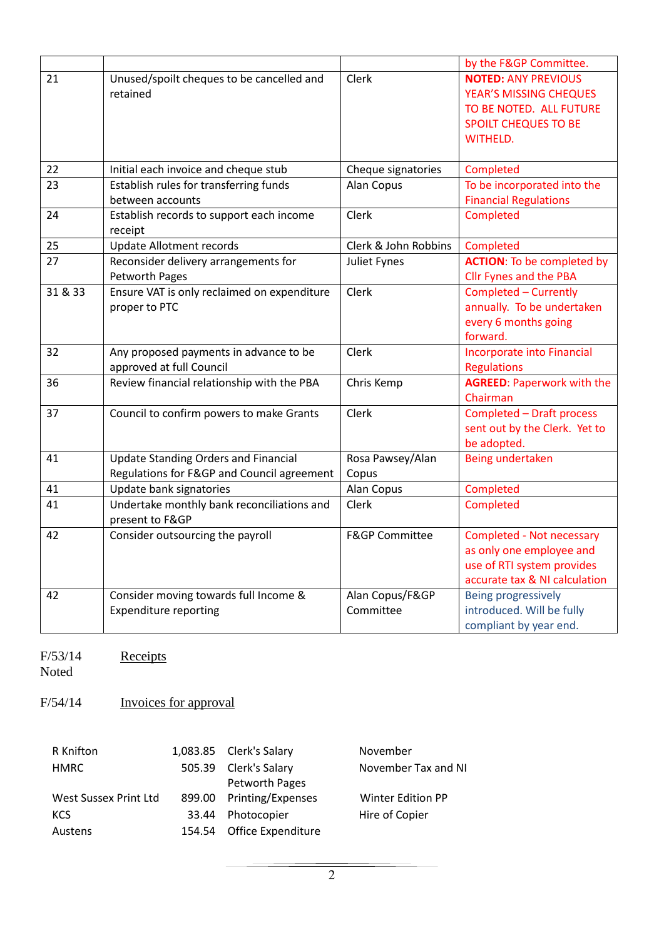|                          |                                                                                           |                                 | by the F&GP Committee.                                                                                                            |
|--------------------------|-------------------------------------------------------------------------------------------|---------------------------------|-----------------------------------------------------------------------------------------------------------------------------------|
| 21                       | Unused/spoilt cheques to be cancelled and<br>retained                                     | Clerk                           | <b>NOTED: ANY PREVIOUS</b><br>YEAR'S MISSING CHEQUES<br>TO BE NOTED. ALL FUTURE<br><b>SPOILT CHEQUES TO BE</b><br><b>WITHELD.</b> |
| 22                       | Initial each invoice and cheque stub                                                      | Cheque signatories              | Completed                                                                                                                         |
| 23                       | Establish rules for transferring funds<br>between accounts                                | Alan Copus                      | To be incorporated into the<br><b>Financial Regulations</b>                                                                       |
| 24                       | Establish records to support each income<br>receipt                                       | Clerk                           | Completed                                                                                                                         |
| 25                       | <b>Update Allotment records</b>                                                           | Clerk & John Robbins            | Completed                                                                                                                         |
| 27                       | Reconsider delivery arrangements for<br>Petworth Pages                                    | Juliet Fynes                    | <b>ACTION:</b> To be completed by<br><b>Cllr Fynes and the PBA</b>                                                                |
| 31 & 33                  | Ensure VAT is only reclaimed on expenditure<br>proper to PTC                              | Clerk                           | Completed - Currently<br>annually. To be undertaken<br>every 6 months going<br>forward.                                           |
| 32                       | Any proposed payments in advance to be<br>approved at full Council                        | Clerk                           | <b>Incorporate into Financial</b><br><b>Regulations</b>                                                                           |
| 36                       | Review financial relationship with the PBA                                                | Chris Kemp                      | <b>AGREED: Paperwork with the</b><br>Chairman                                                                                     |
| 37                       | Council to confirm powers to make Grants                                                  | Clerk                           | <b>Completed - Draft process</b><br>sent out by the Clerk. Yet to<br>be adopted.                                                  |
| 41                       | <b>Update Standing Orders and Financial</b><br>Regulations for F&GP and Council agreement | Rosa Pawsey/Alan<br>Copus       | Being undertaken                                                                                                                  |
| 41                       | Update bank signatories                                                                   | Alan Copus                      | Completed                                                                                                                         |
| 41                       | Undertake monthly bank reconciliations and<br>present to F&GP                             | Clerk                           | Completed                                                                                                                         |
| 42                       | Consider outsourcing the payroll                                                          | <b>F&amp;GP Committee</b>       | Completed - Not necessary<br>as only one employee and<br>use of RTI system provides<br>accurate tax & NI calculation              |
| 42                       | Consider moving towards full Income &<br><b>Expenditure reporting</b>                     | Alan Copus/F&GP<br>Committee    | Being progressively<br>introduced. Will be fully<br>compliant by year end.                                                        |
| F/53/14<br>Noted         | Receipts                                                                                  |                                 |                                                                                                                                   |
| F/54/14                  | Invoices for approval                                                                     |                                 |                                                                                                                                   |
| R Knifton<br><b>HMRC</b> | 1,083.85<br>Clerk's Salary<br>Clerk's Salary<br>505.39                                    | November<br>November Tax and NI |                                                                                                                                   |

|       |                | <b>IVOVEHIDEI</b>                                                                                                               |
|-------|----------------|---------------------------------------------------------------------------------------------------------------------------------|
|       |                | November Tax and                                                                                                                |
|       | Petworth Pages |                                                                                                                                 |
|       |                | Winter Edition PP                                                                                                               |
| 33.44 |                | Hire of Copier                                                                                                                  |
|       |                |                                                                                                                                 |
|       |                | <b>T'OOD'OU CILIV'S DOIGIN</b><br>505.39 Clerk's Salary<br>899.00 Printing/Expenses<br>Photocopier<br>154.54 Office Expenditure |

 $\overline{2}$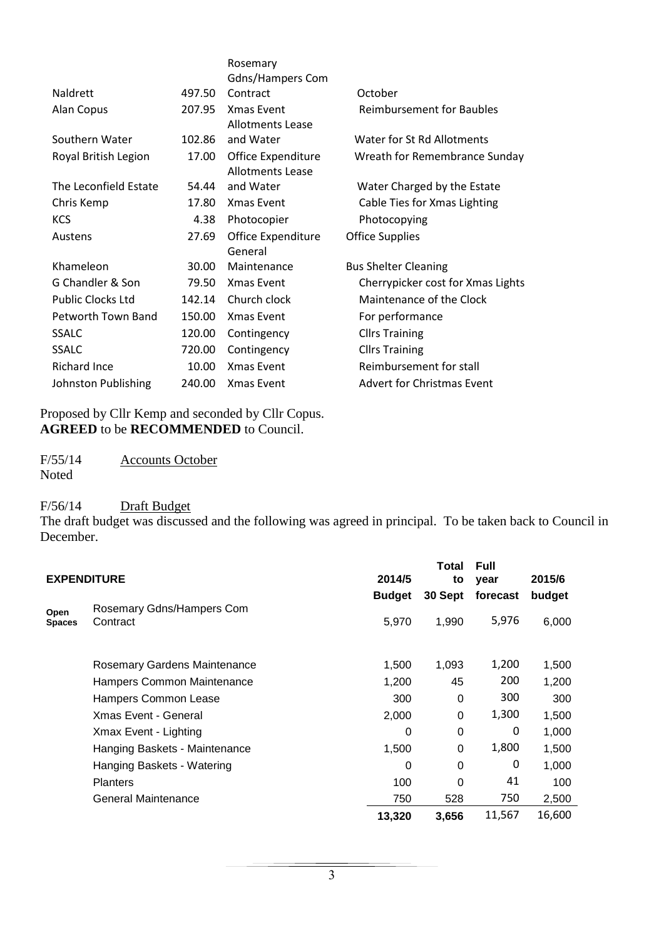|                          |        | Rosemary                                      |                                   |
|--------------------------|--------|-----------------------------------------------|-----------------------------------|
|                          |        | <b>Gdns/Hampers Com</b>                       |                                   |
| <b>Naldrett</b>          | 497.50 | Contract                                      | October                           |
| Alan Copus               | 207.95 | Xmas Event<br><b>Allotments Lease</b>         | <b>Reimbursement for Baubles</b>  |
| Southern Water           | 102.86 | and Water                                     | Water for St Rd Allotments        |
| Royal British Legion     | 17.00  | Office Expenditure<br><b>Allotments Lease</b> | Wreath for Remembrance Sunday     |
| The Leconfield Estate    | 54.44  | and Water                                     | Water Charged by the Estate       |
| Chris Kemp               | 17.80  | <b>Xmas Event</b>                             | Cable Ties for Xmas Lighting      |
| <b>KCS</b>               | 4.38   | Photocopier                                   | Photocopying                      |
| Austens                  | 27.69  | Office Expenditure<br>General                 | <b>Office Supplies</b>            |
| Khameleon                | 30.00  | Maintenance                                   | <b>Bus Shelter Cleaning</b>       |
| G Chandler & Son         | 79.50  | <b>Xmas Event</b>                             | Cherrypicker cost for Xmas Lights |
| <b>Public Clocks Ltd</b> | 142.14 | Church clock                                  | Maintenance of the Clock          |
| Petworth Town Band       | 150.00 | <b>Xmas Event</b>                             | For performance                   |
| <b>SSALC</b>             | 120.00 | Contingency                                   | <b>Cllrs Training</b>             |
| SSALC                    | 720.00 | Contingency                                   | <b>Cllrs Training</b>             |
| <b>Richard Ince</b>      | 10.00  | Xmas Event                                    | Reimbursement for stall           |
| Johnston Publishing      | 240.00 | <b>Xmas Event</b>                             | <b>Advert for Christmas Event</b> |

Proposed by Cllr Kemp and seconded by Cllr Copus. **AGREED** to be **RECOMMENDED** to Council.

F/55/14 Accounts October Noted

## F/56/14 Draft Budget

The draft budget was discussed and the following was agreed in principal. To be taken back to Council in December.

|                       | <b>EXPENDITURE</b>            | 2014/5        | <b>Total</b><br>to | <b>Full</b><br>year | 2015/6 |
|-----------------------|-------------------------------|---------------|--------------------|---------------------|--------|
|                       |                               |               |                    |                     |        |
|                       | Rosemary Gdns/Hampers Com     | <b>Budget</b> | 30 Sept            | forecast            | budget |
| Open<br><b>Spaces</b> | Contract                      | 5,970         | 1,990              | 5,976               | 6,000  |
|                       |                               |               |                    |                     |        |
|                       | Rosemary Gardens Maintenance  | 1,500         | 1,093              | 1,200               | 1,500  |
|                       | Hampers Common Maintenance    | 1,200         | 45                 | 200                 | 1,200  |
|                       | Hampers Common Lease          | 300           | 0                  | 300                 | 300    |
|                       | <b>Xmas Event - General</b>   | 2,000         | $\Omega$           | 1,300               | 1,500  |
|                       | Xmax Event - Lighting         | 0             | 0                  | 0                   | 1,000  |
|                       | Hanging Baskets - Maintenance | 1,500         | 0                  | 1,800               | 1,500  |
|                       | Hanging Baskets - Watering    | 0             | 0                  | 0                   | 1,000  |
|                       | <b>Planters</b>               | 100           | 0                  | 41                  | 100    |
|                       | General Maintenance           | 750           | 528                | 750                 | 2,500  |
|                       |                               | 13,320        | 3,656              | 11,567              | 16,600 |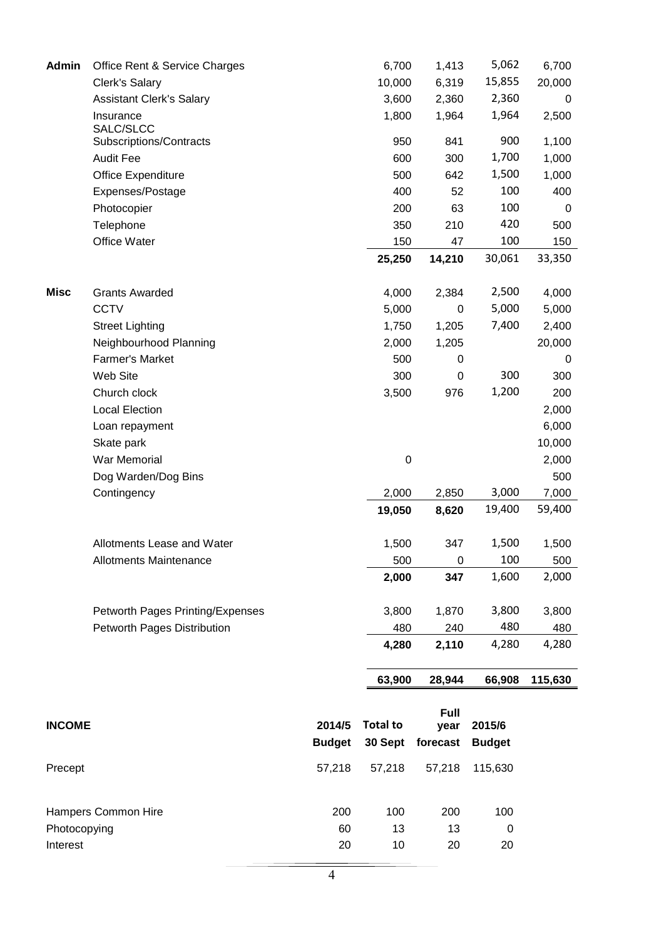| <b>Admin</b>  | Office Rent & Service Charges        |               | 6,700           | 1,413            | 5,062         | 6,700   |
|---------------|--------------------------------------|---------------|-----------------|------------------|---------------|---------|
|               | Clerk's Salary                       |               | 10,000          | 6,319            | 15,855        | 20,000  |
|               | <b>Assistant Clerk's Salary</b>      |               | 3,600           | 2,360            | 2,360         | 0       |
|               | Insurance                            |               | 1,800           | 1,964            | 1,964         | 2,500   |
|               | SALC/SLCC<br>Subscriptions/Contracts |               | 950             | 841              | 900           | 1,100   |
|               | <b>Audit Fee</b>                     |               | 600             | 300              | 1,700         | 1,000   |
|               | Office Expenditure                   |               | 500             | 642              | 1,500         | 1,000   |
|               | Expenses/Postage                     |               | 400             | 52               | 100           | 400     |
|               | Photocopier                          |               | 200             | 63               | 100           | 0       |
|               | Telephone                            |               | 350             | 210              | 420           | 500     |
|               | Office Water                         |               | 150             | 47               | 100           | 150     |
|               |                                      |               | 25,250          | 14,210           | 30,061        | 33,350  |
|               |                                      |               |                 |                  |               |         |
| <b>Misc</b>   | <b>Grants Awarded</b>                |               | 4,000           | 2,384            | 2,500         | 4,000   |
|               | <b>CCTV</b>                          |               | 5,000           | $\boldsymbol{0}$ | 5,000         | 5,000   |
|               | <b>Street Lighting</b>               |               | 1,750           | 1,205            | 7,400         | 2,400   |
|               | Neighbourhood Planning               |               | 2,000           | 1,205            |               | 20,000  |
|               | <b>Farmer's Market</b>               |               | 500             | 0                |               | 0       |
|               | Web Site                             |               | 300             | $\boldsymbol{0}$ | 300           | 300     |
|               | Church clock                         |               | 3,500           | 976              | 1,200         | 200     |
|               | <b>Local Election</b>                |               |                 |                  |               | 2,000   |
|               | Loan repayment                       |               |                 |                  |               | 6,000   |
|               | Skate park                           |               |                 |                  |               | 10,000  |
|               | War Memorial                         |               | $\pmb{0}$       |                  |               | 2,000   |
|               | Dog Warden/Dog Bins                  |               |                 |                  |               | 500     |
|               | Contingency                          |               | 2,000           | 2,850            | 3,000         | 7,000   |
|               |                                      |               | 19,050          | 8,620            | 19,400        | 59,400  |
|               | Allotments Lease and Water           |               | 1,500           | 347              | 1,500         | 1,500   |
|               | <b>Allotments Maintenance</b>        |               | 500             | $\boldsymbol{0}$ | 100           | 500     |
|               |                                      |               | 2,000           | 347              | 1,600         | 2,000   |
|               | Petworth Pages Printing/Expenses     |               | 3,800           | 1,870            | 3,800         | 3,800   |
|               | Petworth Pages Distribution          |               | 480             | 240              | 480           | 480     |
|               |                                      |               | 4,280           | 2,110            | 4,280         | 4,280   |
|               |                                      |               | 63,900          | 28,944           | 66,908        | 115,630 |
|               |                                      |               |                 |                  |               |         |
|               |                                      | 2014/5        | <b>Total to</b> | Full             |               |         |
| <b>INCOME</b> |                                      |               |                 | year             | 2015/6        |         |
|               |                                      | <b>Budget</b> | 30 Sept         | forecast         | <b>Budget</b> |         |
| Precept       |                                      | 57,218        | 57,218          | 57,218           | 115,630       |         |
|               | Hampers Common Hire                  | 200           | 100             | 200              | 100           |         |
| Photocopying  |                                      | 60            | 13              | 13               | 0             |         |
| Interest      |                                      | 20            | 10              | 20               | 20            |         |